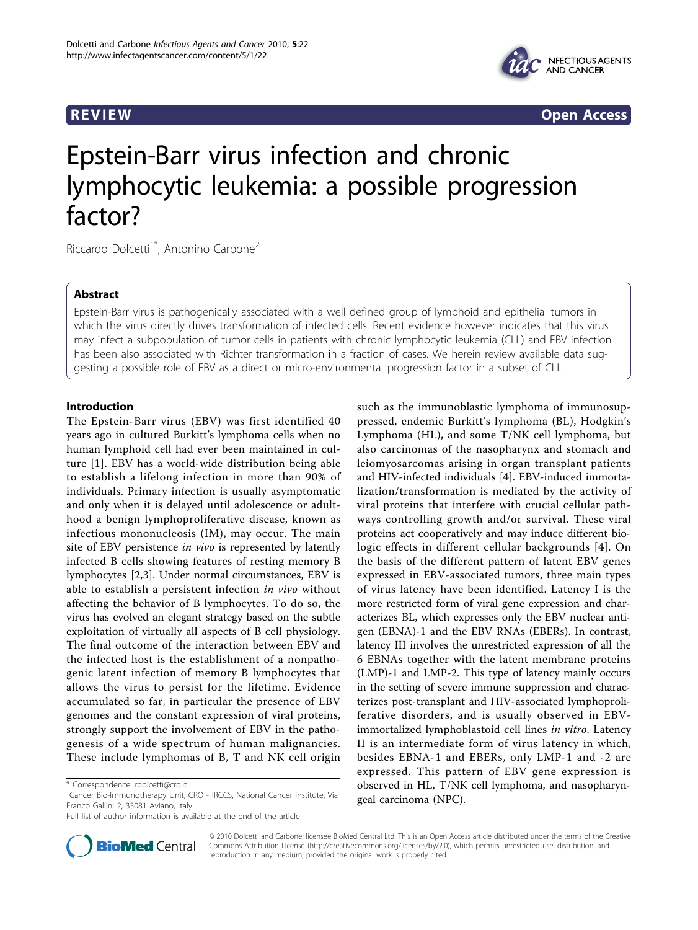

**REVIEW REVIEW CONSTRUCTER CONSTRUCTION** 

# Epstein-Barr virus infection and chronic lymphocytic leukemia: a possible progression factor?

Riccardo Dolcetti<sup>1\*</sup>, Antonino Carbone<sup>2</sup>

# Abstract

Epstein-Barr virus is pathogenically associated with a well defined group of lymphoid and epithelial tumors in which the virus directly drives transformation of infected cells. Recent evidence however indicates that this virus may infect a subpopulation of tumor cells in patients with chronic lymphocytic leukemia (CLL) and EBV infection has been also associated with Richter transformation in a fraction of cases. We herein review available data suggesting a possible role of EBV as a direct or micro-environmental progression factor in a subset of CLL.

# Introduction

The Epstein-Barr virus (EBV) was first identified 40 years ago in cultured Burkitt's lymphoma cells when no human lymphoid cell had ever been maintained in culture [[1\]](#page-3-0). EBV has a world-wide distribution being able to establish a lifelong infection in more than 90% of individuals. Primary infection is usually asymptomatic and only when it is delayed until adolescence or adulthood a benign lymphoproliferative disease, known as infectious mononucleosis (IM), may occur. The main site of EBV persistence in vivo is represented by latently infected B cells showing features of resting memory B lymphocytes [[2,3](#page-3-0)]. Under normal circumstances, EBV is able to establish a persistent infection in vivo without affecting the behavior of B lymphocytes. To do so, the virus has evolved an elegant strategy based on the subtle exploitation of virtually all aspects of B cell physiology. The final outcome of the interaction between EBV and the infected host is the establishment of a nonpathogenic latent infection of memory B lymphocytes that allows the virus to persist for the lifetime. Evidence accumulated so far, in particular the presence of EBV genomes and the constant expression of viral proteins, strongly support the involvement of EBV in the pathogenesis of a wide spectrum of human malignancies. These include lymphomas of B, T and NK cell origin

Full list of author information is available at the end of the article



BioMed Central

© 2010 Dolcetti and Carbone; licensee BioMed Central Ltd. This is an Open Access article distributed under the terms of the Creative Commons Attribution License [\(http://creativecommons.org/licenses/by/2.0](http://creativecommons.org/licenses/by/2.0)), which permits unrestricted use, distribution, and reproduction in any medium, provided the original work is properly cited.

<sup>\*</sup> Correspondence: [rdolcetti@cro.it](mailto:rdolcetti@cro.it)

<sup>&</sup>lt;sup>1</sup> Cancer Bio-Immunotherapy Unit, CRO - IRCCS, National Cancer Institute, Via Franco Gallini 2, 33081 Aviano, Italy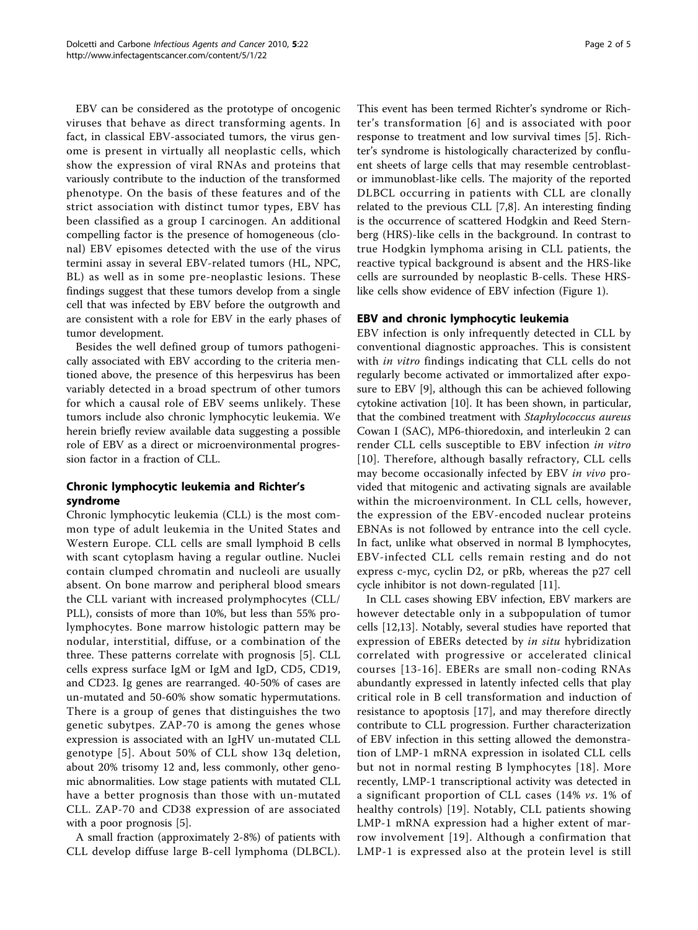EBV can be considered as the prototype of oncogenic viruses that behave as direct transforming agents. In fact, in classical EBV-associated tumors, the virus genome is present in virtually all neoplastic cells, which show the expression of viral RNAs and proteins that variously contribute to the induction of the transformed phenotype. On the basis of these features and of the strict association with distinct tumor types, EBV has been classified as a group I carcinogen. An additional compelling factor is the presence of homogeneous (clonal) EBV episomes detected with the use of the virus termini assay in several EBV-related tumors (HL, NPC, BL) as well as in some pre-neoplastic lesions. These findings suggest that these tumors develop from a single cell that was infected by EBV before the outgrowth and are consistent with a role for EBV in the early phases of tumor development.

Besides the well defined group of tumors pathogenically associated with EBV according to the criteria mentioned above, the presence of this herpesvirus has been variably detected in a broad spectrum of other tumors for which a causal role of EBV seems unlikely. These tumors include also chronic lymphocytic leukemia. We herein briefly review available data suggesting a possible role of EBV as a direct or microenvironmental progression factor in a fraction of CLL.

# Chronic lymphocytic leukemia and Richter's syndrome

Chronic lymphocytic leukemia (CLL) is the most common type of adult leukemia in the United States and Western Europe. CLL cells are small lymphoid B cells with scant cytoplasm having a regular outline. Nuclei contain clumped chromatin and nucleoli are usually absent. On bone marrow and peripheral blood smears the CLL variant with increased prolymphocytes (CLL/ PLL), consists of more than 10%, but less than 55% prolymphocytes. Bone marrow histologic pattern may be nodular, interstitial, diffuse, or a combination of the three. These patterns correlate with prognosis [[5\]](#page-3-0). CLL cells express surface IgM or IgM and IgD, CD5, CD19, and CD23. Ig genes are rearranged. 40-50% of cases are un-mutated and 50-60% show somatic hypermutations. There is a group of genes that distinguishes the two genetic subytpes. ZAP-70 is among the genes whose expression is associated with an IgHV un-mutated CLL genotype [[5](#page-3-0)]. About 50% of CLL show 13q deletion, about 20% trisomy 12 and, less commonly, other genomic abnormalities. Low stage patients with mutated CLL have a better prognosis than those with un-mutated CLL. ZAP-70 and CD38 expression of are associated with a poor prognosis [\[5](#page-3-0)].

A small fraction (approximately 2-8%) of patients with CLL develop diffuse large B-cell lymphoma (DLBCL). This event has been termed Richter's syndrome or Richter's transformation [[6](#page-3-0)] and is associated with poor response to treatment and low survival times [\[5](#page-3-0)]. Richter's syndrome is histologically characterized by confluent sheets of large cells that may resemble centroblastor immunoblast-like cells. The majority of the reported DLBCL occurring in patients with CLL are clonally related to the previous CLL [\[7,8](#page-3-0)]. An interesting finding is the occurrence of scattered Hodgkin and Reed Sternberg (HRS)-like cells in the background. In contrast to true Hodgkin lymphoma arising in CLL patients, the reactive typical background is absent and the HRS-like cells are surrounded by neoplastic B-cells. These HRSlike cells show evidence of EBV infection (Figure [1\)](#page-2-0).

# EBV and chronic lymphocytic leukemia

EBV infection is only infrequently detected in CLL by conventional diagnostic approaches. This is consistent with *in vitro* findings indicating that CLL cells do not regularly become activated or immortalized after exposure to EBV [\[9](#page-3-0)], although this can be achieved following cytokine activation [[10\]](#page-3-0). It has been shown, in particular, that the combined treatment with Staphylococcus aureus Cowan I (SAC), MP6-thioredoxin, and interleukin 2 can render CLL cells susceptible to EBV infection in vitro [[10](#page-3-0)]. Therefore, although basally refractory, CLL cells may become occasionally infected by EBV in vivo provided that mitogenic and activating signals are available within the microenvironment. In CLL cells, however, the expression of the EBV-encoded nuclear proteins EBNAs is not followed by entrance into the cell cycle. In fact, unlike what observed in normal B lymphocytes, EBV-infected CLL cells remain resting and do not express c-myc, cyclin D2, or pRb, whereas the p27 cell cycle inhibitor is not down-regulated [\[11\]](#page-3-0).

In CLL cases showing EBV infection, EBV markers are however detectable only in a subpopulation of tumor cells [\[12,13](#page-3-0)]. Notably, several studies have reported that expression of EBERs detected by in situ hybridization correlated with progressive or accelerated clinical courses [[13](#page-3-0)-[16\]](#page-3-0). EBERs are small non-coding RNAs abundantly expressed in latently infected cells that play critical role in B cell transformation and induction of resistance to apoptosis [\[17](#page-3-0)], and may therefore directly contribute to CLL progression. Further characterization of EBV infection in this setting allowed the demonstration of LMP-1 mRNA expression in isolated CLL cells but not in normal resting B lymphocytes [[18\]](#page-3-0). More recently, LMP-1 transcriptional activity was detected in a significant proportion of CLL cases (14% vs. 1% of healthy controls) [[19](#page-3-0)]. Notably, CLL patients showing LMP-1 mRNA expression had a higher extent of marrow involvement [[19](#page-3-0)]. Although a confirmation that LMP-1 is expressed also at the protein level is still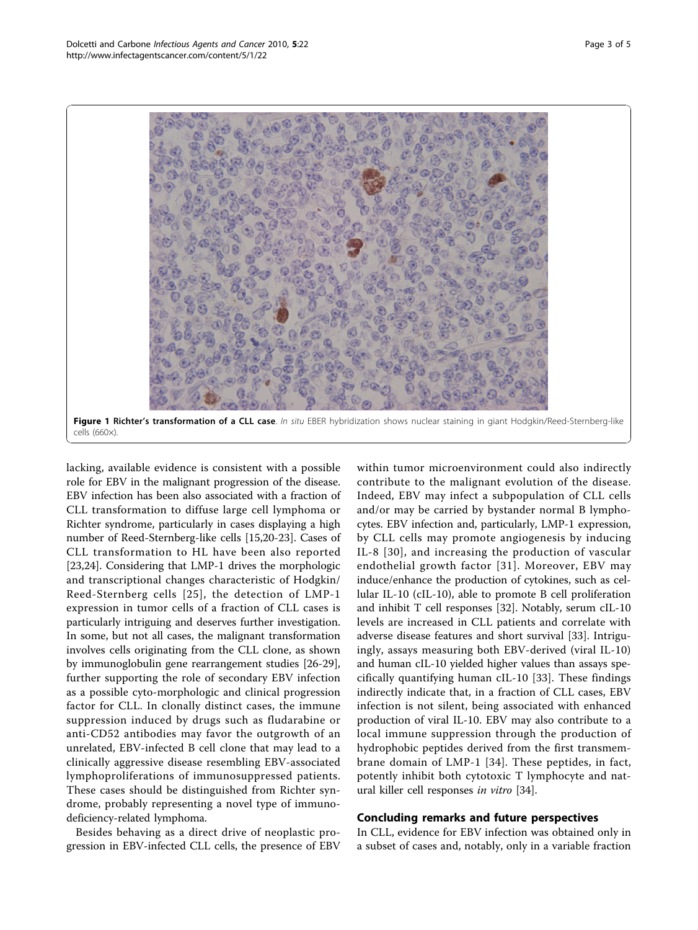<span id="page-2-0"></span>

lacking, available evidence is consistent with a possible role for EBV in the malignant progression of the disease. EBV infection has been also associated with a fraction of CLL transformation to diffuse large cell lymphoma or Richter syndrome, particularly in cases displaying a high number of Reed-Sternberg-like cells [\[15,20](#page-3-0)-[23\]](#page-3-0). Cases of CLL transformation to HL have been also reported [[23,24\]](#page-3-0). Considering that LMP-1 drives the morphologic and transcriptional changes characteristic of Hodgkin/ Reed-Sternberg cells [[25](#page-3-0)], the detection of LMP-1 expression in tumor cells of a fraction of CLL cases is particularly intriguing and deserves further investigation. In some, but not all cases, the malignant transformation involves cells originating from the CLL clone, as shown by immunoglobulin gene rearrangement studies [[26-29](#page-4-0)], further supporting the role of secondary EBV infection as a possible cyto-morphologic and clinical progression factor for CLL. In clonally distinct cases, the immune suppression induced by drugs such as fludarabine or anti-CD52 antibodies may favor the outgrowth of an unrelated, EBV-infected B cell clone that may lead to a clinically aggressive disease resembling EBV-associated lymphoproliferations of immunosuppressed patients. These cases should be distinguished from Richter syndrome, probably representing a novel type of immunodeficiency-related lymphoma.

Besides behaving as a direct drive of neoplastic progression in EBV-infected CLL cells, the presence of EBV within tumor microenvironment could also indirectly contribute to the malignant evolution of the disease. Indeed, EBV may infect a subpopulation of CLL cells and/or may be carried by bystander normal B lymphocytes. EBV infection and, particularly, LMP-1 expression, by CLL cells may promote angiogenesis by inducing IL-8 [[30](#page-4-0)], and increasing the production of vascular endothelial growth factor [[31\]](#page-4-0). Moreover, EBV may induce/enhance the production of cytokines, such as cellular IL-10 (cIL-10), able to promote B cell proliferation and inhibit T cell responses [[32\]](#page-4-0). Notably, serum cIL-10 levels are increased in CLL patients and correlate with adverse disease features and short survival [[33\]](#page-4-0). Intriguingly, assays measuring both EBV-derived (viral IL-10) and human cIL-10 yielded higher values than assays specifically quantifying human cIL-10 [[33\]](#page-4-0). These findings indirectly indicate that, in a fraction of CLL cases, EBV infection is not silent, being associated with enhanced production of viral IL-10. EBV may also contribute to a local immune suppression through the production of hydrophobic peptides derived from the first transmembrane domain of LMP-1 [\[34\]](#page-4-0). These peptides, in fact, potently inhibit both cytotoxic T lymphocyte and natural killer cell responses in vitro [[34](#page-4-0)].

# Concluding remarks and future perspectives

In CLL, evidence for EBV infection was obtained only in a subset of cases and, notably, only in a variable fraction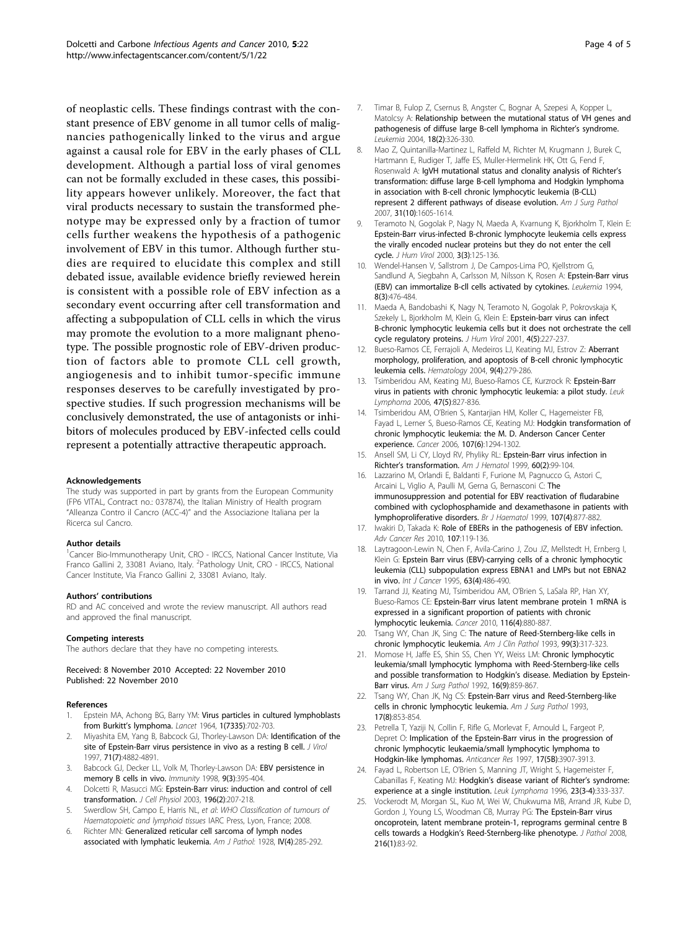<span id="page-3-0"></span>of neoplastic cells. These findings contrast with the constant presence of EBV genome in all tumor cells of malignancies pathogenically linked to the virus and argue against a causal role for EBV in the early phases of CLL development. Although a partial loss of viral genomes can not be formally excluded in these cases, this possibility appears however unlikely. Moreover, the fact that viral products necessary to sustain the transformed phenotype may be expressed only by a fraction of tumor cells further weakens the hypothesis of a pathogenic involvement of EBV in this tumor. Although further studies are required to elucidate this complex and still debated issue, available evidence briefly reviewed herein is consistent with a possible role of EBV infection as a secondary event occurring after cell transformation and affecting a subpopulation of CLL cells in which the virus may promote the evolution to a more malignant phenotype. The possible prognostic role of EBV-driven production of factors able to promote CLL cell growth, angiogenesis and to inhibit tumor-specific immune responses deserves to be carefully investigated by prospective studies. If such progression mechanisms will be conclusively demonstrated, the use of antagonists or inhibitors of molecules produced by EBV-infected cells could represent a potentially attractive therapeutic approach.

### Acknowledgements

The study was supported in part by grants from the European Community (FP6 VITAL, Contract no.: 037874), the Italian Ministry of Health program "Alleanza Contro il Cancro (ACC-4)" and the Associazione Italiana per la Ricerca sul Cancro.

#### Author details

<sup>1</sup> Cancer Bio-Immunotherapy Unit, CRO - IRCCS, National Cancer Institute, Via Franco Gallini 2, 33081 Aviano, Italy. <sup>2</sup>Pathology Unit, CRO - IRCCS, National Cancer Institute, Via Franco Gallini 2, 33081 Aviano, Italy.

#### Authors' contributions

RD and AC conceived and wrote the review manuscript. All authors read and approved the final manuscript.

#### Competing interests

The authors declare that they have no competing interests.

Received: 8 November 2010 Accepted: 22 November 2010 Published: 22 November 2010

#### References

- Epstein MA, Achong BG, Barry YM: [Virus particles in cultured lymphoblasts](http://www.ncbi.nlm.nih.gov/pubmed/14107961?dopt=Abstract) from Burkitt'[s lymphoma.](http://www.ncbi.nlm.nih.gov/pubmed/14107961?dopt=Abstract) Lancet 1964, 1(7335):702-703.
- Miyashita EM, Yang B, Babcock GJ, Thorley-Lawson DA: [Identification of the](http://www.ncbi.nlm.nih.gov/pubmed/9188550?dopt=Abstract) [site of Epstein-Barr virus persistence in vivo as a resting B cell.](http://www.ncbi.nlm.nih.gov/pubmed/9188550?dopt=Abstract) J Virol 1997, 71(7):4882-4891.
- 3. Babcock GJ, Decker LL, Volk M, Thorley-Lawson DA: [EBV persistence in](http://www.ncbi.nlm.nih.gov/pubmed/9768759?dopt=Abstract) [memory B cells in vivo.](http://www.ncbi.nlm.nih.gov/pubmed/9768759?dopt=Abstract) Immunity 1998, 9(3):395-404.
- 4. Dolcetti R, Masucci MG: [Epstein-Barr virus: induction and control of cell](http://www.ncbi.nlm.nih.gov/pubmed/12811813?dopt=Abstract) [transformation.](http://www.ncbi.nlm.nih.gov/pubmed/12811813?dopt=Abstract) J Cell Physiol 2003, 196(2):207-218.
- 5. Swerdlow SH, Campo E, Harris NL, et al: WHO Classification of tumours of Haematopoietic and lymphoid tissues IARC Press, Lyon, France; 2008.
- 6. Richter MN: Generalized reticular cell sarcoma of lymph nodes associated with lymphatic leukemia. Am J Pathol: 1928, IV(4):285-292.
- 7. Timar B, Fulop Z, Csernus B, Angster C, Bognar A, Szepesi A, Kopper L, Matolcsy A: [Relationship between the mutational status of VH genes and](http://www.ncbi.nlm.nih.gov/pubmed/14671632?dopt=Abstract) [pathogenesis of diffuse large B-cell lymphoma in Richter](http://www.ncbi.nlm.nih.gov/pubmed/14671632?dopt=Abstract)'s syndrome. Leukemia 2004, 18(2):326-330.
- 8. Mao Z, Quintanilla-Martinez L, Raffeld M, Richter M, Krugmann J, Burek C, Hartmann E, Rudiger T, Jaffe ES, Muller-Hermelink HK, Ott G, Fend F, Rosenwald A: [IgVH mutational status and clonality analysis of Richter](http://www.ncbi.nlm.nih.gov/pubmed/17895764?dopt=Abstract)'s [transformation: diffuse large B-cell lymphoma and Hodgkin lymphoma](http://www.ncbi.nlm.nih.gov/pubmed/17895764?dopt=Abstract) [in association with B-cell chronic lymphocytic leukemia \(B-CLL\)](http://www.ncbi.nlm.nih.gov/pubmed/17895764?dopt=Abstract) [represent 2 different pathways of disease evolution.](http://www.ncbi.nlm.nih.gov/pubmed/17895764?dopt=Abstract) Am J Surg Pathol 2007, 31(10):1605-1614.
- 9. Teramoto N, Gogolak P, Nagy N, Maeda A, Kvarnung K, Bjorkholm T, Klein E: [Epstein-Barr virus-infected B-chronic lymphocyte leukemia cells express](http://www.ncbi.nlm.nih.gov/pubmed/10881992?dopt=Abstract) [the virally encoded nuclear proteins but they do not enter the cell](http://www.ncbi.nlm.nih.gov/pubmed/10881992?dopt=Abstract) [cycle.](http://www.ncbi.nlm.nih.gov/pubmed/10881992?dopt=Abstract) J Hum Virol 2000, 3(3):125-136.
- 10. Wendel-Hansen V, Sallstrom J, De Campos-Lima PO, Kjellstrom G, Sandlund A, Siegbahn A, Carlsson M, Nilsson K, Rosen A: [Epstein-Barr virus](http://www.ncbi.nlm.nih.gov/pubmed/8127151?dopt=Abstract) [\(EBV\) can immortalize B-cll cells activated by cytokines.](http://www.ncbi.nlm.nih.gov/pubmed/8127151?dopt=Abstract) Leukemia 1994, 8(3):476-484.
- 11. Maeda A, Bandobashi K, Nagy N, Teramoto N, Gogolak P, Pokrovskaja K, Szekely L, Bjorkholm M, Klein G, Klein E: [Epstein-barr virus can infect](http://www.ncbi.nlm.nih.gov/pubmed/11907380?dopt=Abstract) [B-chronic lymphocytic leukemia cells but it does not orchestrate the cell](http://www.ncbi.nlm.nih.gov/pubmed/11907380?dopt=Abstract) [cycle regulatory proteins.](http://www.ncbi.nlm.nih.gov/pubmed/11907380?dopt=Abstract) J Hum Virol 2001, 4(5):227-237.
- 12. Bueso-Ramos CE, Ferrajoli A, Medeiros LJ, Keating MJ, Estrov Z: [Aberrant](http://www.ncbi.nlm.nih.gov/pubmed/15621735?dopt=Abstract) [morphology, proliferation, and apoptosis of B-cell chronic lymphocytic](http://www.ncbi.nlm.nih.gov/pubmed/15621735?dopt=Abstract) [leukemia cells.](http://www.ncbi.nlm.nih.gov/pubmed/15621735?dopt=Abstract) Hematology 2004, 9(4):279-286.
- 13. Tsimberidou AM, Keating MJ, Bueso-Ramos CE, Kurzrock R: [Epstein-Barr](http://www.ncbi.nlm.nih.gov/pubmed/16753866?dopt=Abstract) [virus in patients with chronic lymphocytic leukemia: a pilot study.](http://www.ncbi.nlm.nih.gov/pubmed/16753866?dopt=Abstract) Leuk Lymphoma 2006, 47(5):827-836.
- 14. Tsimberidou AM, O'Brien S, Kantarjian HM, Koller C, Hagemeister FB, Fayad L, Lerner S, Bueso-Ramos CE, Keating MJ: [Hodgkin transformation of](http://www.ncbi.nlm.nih.gov/pubmed/16902984?dopt=Abstract) [chronic lymphocytic leukemia: the M. D. Anderson Cancer Center](http://www.ncbi.nlm.nih.gov/pubmed/16902984?dopt=Abstract) [experience.](http://www.ncbi.nlm.nih.gov/pubmed/16902984?dopt=Abstract) Cancer 2006, 107(6):1294-1302.
- 15. Ansell SM, Li CY, Lloyd RV, Phyliky RL: [Epstein-Barr virus infection in](http://www.ncbi.nlm.nih.gov/pubmed/9929100?dopt=Abstract) Richter'[s transformation.](http://www.ncbi.nlm.nih.gov/pubmed/9929100?dopt=Abstract) Am J Hematol 1999, 60(2):99-104.
- 16. Lazzarino M, Orlandi E, Baldanti F, Furione M, Pagnucco G, Astori C, Arcaini L, Viglio A, Paulli M, Gerna G, Bernasconi C: [The](http://www.ncbi.nlm.nih.gov/pubmed/10606897?dopt=Abstract) [immunosuppression and potential for EBV reactivation of fludarabine](http://www.ncbi.nlm.nih.gov/pubmed/10606897?dopt=Abstract) [combined with cyclophosphamide and dexamethasone in patients with](http://www.ncbi.nlm.nih.gov/pubmed/10606897?dopt=Abstract) [lymphoproliferative disorders.](http://www.ncbi.nlm.nih.gov/pubmed/10606897?dopt=Abstract) Br J Haematol 1999, 107(4):877-882.
- 17. Iwakiri D, Takada K: [Role of EBERs in the pathogenesis of EBV infection.](http://www.ncbi.nlm.nih.gov/pubmed/20399962?dopt=Abstract) Adv Cancer Res 2010, 107:119-136.
- 18. Laytragoon-Lewin N, Chen F, Avila-Carino J, Zou JZ, Mellstedt H, Ernberg I, Klein G: [Epstein Barr virus \(EBV\)-carrying cells of a chronic lymphocytic](http://www.ncbi.nlm.nih.gov/pubmed/7591254?dopt=Abstract) [leukemia \(CLL\) subpopulation express EBNA1 and LMPs but not EBNA2](http://www.ncbi.nlm.nih.gov/pubmed/7591254?dopt=Abstract) [in vivo.](http://www.ncbi.nlm.nih.gov/pubmed/7591254?dopt=Abstract) Int J Cancer 1995, 63(4):486-490.
- 19. Tarrand JJ, Keating MJ, Tsimberidou AM, O'Brien S, LaSala RP, Han XY, Bueso-Ramos CE: [Epstein-Barr virus latent membrane protein 1 mRNA is](http://www.ncbi.nlm.nih.gov/pubmed/20052729?dopt=Abstract) [expressed in a significant proportion of patients with chronic](http://www.ncbi.nlm.nih.gov/pubmed/20052729?dopt=Abstract) [lymphocytic leukemia.](http://www.ncbi.nlm.nih.gov/pubmed/20052729?dopt=Abstract) Cancer 2010, 116(4):880-887.
- 20. Tsang WY, Chan JK, Sing C: [The nature of Reed-Sternberg-like cells in](http://www.ncbi.nlm.nih.gov/pubmed/8447294?dopt=Abstract) [chronic lymphocytic leukemia.](http://www.ncbi.nlm.nih.gov/pubmed/8447294?dopt=Abstract) Am J Clin Pathol 1993, 99(3):317-323.
- 21. Momose H, Jaffe ES, Shin SS, Chen YY, Weiss LM: [Chronic lymphocytic](http://www.ncbi.nlm.nih.gov/pubmed/1384376?dopt=Abstract) [leukemia/small lymphocytic lymphoma with Reed-Sternberg-like cells](http://www.ncbi.nlm.nih.gov/pubmed/1384376?dopt=Abstract) [and possible transformation to Hodgkin](http://www.ncbi.nlm.nih.gov/pubmed/1384376?dopt=Abstract)'s disease. Mediation by Epstein-[Barr virus.](http://www.ncbi.nlm.nih.gov/pubmed/1384376?dopt=Abstract) Am J Surg Pathol 1992, 16(9):859-867.
- 22. Tsang WY, Chan JK, Ng CS: [Epstein-Barr virus and Reed-Sternberg-like](http://www.ncbi.nlm.nih.gov/pubmed/8393305?dopt=Abstract) [cells in chronic lymphocytic leukemia.](http://www.ncbi.nlm.nih.gov/pubmed/8393305?dopt=Abstract) Am J Surg Pathol 1993, 17(8):853-854.
- 23. Petrella T, Yaziji N, Collin F, Rifle G, Morlevat F, Arnould L, Fargeot P, Depret O: [Implication of the Epstein-Barr virus in the progression of](http://www.ncbi.nlm.nih.gov/pubmed/9427802?dopt=Abstract) [chronic lymphocytic leukaemia/small lymphocytic lymphoma to](http://www.ncbi.nlm.nih.gov/pubmed/9427802?dopt=Abstract) [Hodgkin-like lymphomas.](http://www.ncbi.nlm.nih.gov/pubmed/9427802?dopt=Abstract) Anticancer Res 1997, 17(5B):3907-3913.
- 24. Fayad L, Robertson LE, O'Brien S, Manning JT, Wright S, Hagemeister F, Cabanillas F, Keating MJ: Hodgkin'[s disease variant of Richter](http://www.ncbi.nlm.nih.gov/pubmed/9031114?dopt=Abstract)'s syndrome: [experience at a single institution.](http://www.ncbi.nlm.nih.gov/pubmed/9031114?dopt=Abstract) Leuk Lymphoma 1996, 23(3-4):333-337.
- 25. Vockerodt M, Morgan SL, Kuo M, Wei W, Chukwuma MB, Arrand JR, Kube D, Gordon J, Young LS, Woodman CB, Murray PG: [The Epstein-Barr virus](http://www.ncbi.nlm.nih.gov/pubmed/18566961?dopt=Abstract) [oncoprotein, latent membrane protein-1, reprograms germinal centre B](http://www.ncbi.nlm.nih.gov/pubmed/18566961?dopt=Abstract) cells towards a Hodgkin'[s Reed-Sternberg-like phenotype.](http://www.ncbi.nlm.nih.gov/pubmed/18566961?dopt=Abstract) J Pathol 2008, 216(1):83-92.